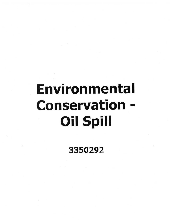# Environmental Conservation - Oil Spill

3350292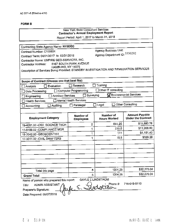### **FORM B**

## New York State Consultant Services **Contractor's Annual Employment Report**

Report Period: April 1, 2017 to March 31, 2018

| Contracting State Agency Name: NYSDEC                                                  |                               | <b>Agency Business Unit:</b>            |                                         |  |
|----------------------------------------------------------------------------------------|-------------------------------|-----------------------------------------|-----------------------------------------|--|
| Contract Number: C100604                                                               |                               | Agency Department ID: 3350292           |                                         |  |
| Contract Term: 04/01/2017 to 03/31/2018                                                |                               |                                         |                                         |  |
| Contractor Name: EMPIRE GEO-SERVICES, INC.                                             |                               |                                         |                                         |  |
| Contractor Address:<br>HAMBURG, NY 14075                                               | 5167 SOUTH PARK AVENUE        |                                         |                                         |  |
| Description of Services Being Provided: STANDBY INVESTIGATION AND REMEDIATION SERVICES |                               |                                         |                                         |  |
|                                                                                        |                               |                                         |                                         |  |
| Scope of Contract (Choose one that best fits):                                         |                               |                                         |                                         |  |
| Evaluation<br>Analysis                                                                 | Research                      | Training                                |                                         |  |
| Data Processing                                                                        | Computer Programming          | Other IT consulting                     |                                         |  |
| <b>Architect Services</b><br>Engineering                                               | Surveying                     |                                         | $\mathbf \nabla$ Environmental Services |  |
| <b>Health Services</b>                                                                 | Mental Health Services        |                                         |                                         |  |
| Auditing                                                                               | Paralegal                     | Legal                                   | <b>Other Consulting</b>                 |  |
| Accounting                                                                             |                               |                                         |                                         |  |
|                                                                                        |                               |                                         | <b>Amount Payable</b>                   |  |
| <b>Employment Category</b>                                                             | Number of<br><b>Employees</b> | <b>Number of</b><br><b>Hours Worked</b> | <b>Under the Contract</b>               |  |
| 19-4091.00 - ENV. SCIENCE TECH                                                         | 2                             | 644.25                                  | \$15,880.76                             |  |
| 11-9199.02 - COMPLIANCE MGR                                                            | 1                             | 233.5                                   | \$11,908.50                             |  |
| 19-2042.00 - GEOSCIENTIST                                                              | 1                             | 111                                     | \$4,151.40                              |  |
| 17-3011.02 - CIVIL DRAFTERS                                                            | 1                             | 15.5                                    | \$329.38                                |  |
|                                                                                        |                               |                                         |                                         |  |
|                                                                                        |                               |                                         |                                         |  |
|                                                                                        |                               |                                         |                                         |  |
|                                                                                        |                               |                                         |                                         |  |
|                                                                                        |                               |                                         |                                         |  |
|                                                                                        |                               |                                         |                                         |  |
| Total this page                                                                        | 5                             | 1004.25                                 | \$32,270.04                             |  |
| <b>Grand Total</b>                                                                     | 5                             | 1004.25                                 | \$32,270.04                             |  |
| Name of person who prepared this report:                                               | <b>GAYLE E LINDSTROM</b>      |                                         |                                         |  |
| ADMIN ASSISTANT<br>Title:                                                              |                               | Phone #:                                | 716-649-8110                            |  |
| Preparer's Signature:                                                                  | $hule \in .$                  | ふぃー                                     |                                         |  |

Date Prepared: 05/07/2018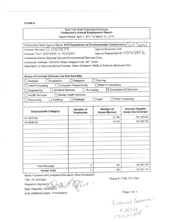**FORMS**

#### New York State Consultant Services **Contractor's Annual Employment Report**

Report Period: April 1, 2017 to March 31, 2018

| Contracting State Agency Name: NYS Department of Environmental Conservation /           |                                        |                                  | 11G                                                |
|-----------------------------------------------------------------------------------------|----------------------------------------|----------------------------------|----------------------------------------------------|
| Contract Number: C   00809                                                              |                                        | <b>Agency Business Unit:</b>     |                                                    |
| Contract Term: 07/21/2016 to 12/31/2017                                                 |                                        | Agency Department ID: 3350292    |                                                    |
| Contractor Name: National Vacuum Environmental Services Corp.                           |                                        |                                  |                                                    |
| Contractor Address: 408 47th Street, Niagara Falls, NY 14304                            |                                        |                                  |                                                    |
| Description of Services Being Provided: Clean Extraction Wells at Eastman Business Park |                                        |                                  |                                                    |
|                                                                                         |                                        |                                  |                                                    |
| Scope of Contract (Choose one that best fits):                                          |                                        |                                  |                                                    |
| Evaluation<br>Analysis                                                                  | Research                               | Training                         |                                                    |
| Data Processing                                                                         | <b>Computer Programming</b>            | Other IT consulting              |                                                    |
| <b>Architect Services</b><br>Engineering                                                | Surveying                              |                                  | $\boxtimes$ Environmental Services                 |
| <b>Health Services</b>                                                                  | <b>Mental Health Services</b>          |                                  |                                                    |
| Auditing<br>Accounting                                                                  | Other Consulting<br>Legal<br>Paralegal |                                  |                                                    |
|                                                                                         |                                        |                                  |                                                    |
| <b>Employment Category</b>                                                              | Number of<br><b>Employees</b>          | Number of<br><b>Hours Worked</b> | <b>Amount Payable</b><br><b>Under the Contract</b> |
| 47-2073.00                                                                              | 1                                      | 27.00                            | \$1,350.00                                         |
| 49-9098.00                                                                              | 3                                      | 35.50                            | \$1,597.50                                         |
|                                                                                         |                                        |                                  |                                                    |
|                                                                                         |                                        |                                  |                                                    |
|                                                                                         |                                        |                                  |                                                    |
|                                                                                         |                                        |                                  |                                                    |
|                                                                                         |                                        |                                  |                                                    |
|                                                                                         |                                        |                                  |                                                    |
|                                                                                         |                                        |                                  |                                                    |
|                                                                                         |                                        |                                  |                                                    |
|                                                                                         |                                        |                                  |                                                    |
|                                                                                         |                                        |                                  |                                                    |
| Total this page<br><b>Grand Total</b>                                                   | 4<br>4                                 | 63<br>63                         | \$2,947.50<br>\$2,947.50                           |

Name of person who prepared this report: Shani Kozlowski

Title: HR Manager

Preparer's Signature:

~~G Date Prepared: *10109/2017*

(Use additional pages, if necessary)

Phone #: (716) 773-1167

Page 1 of 1<br>Laternal Paccura<br># 28 224<br>170 3074.0078